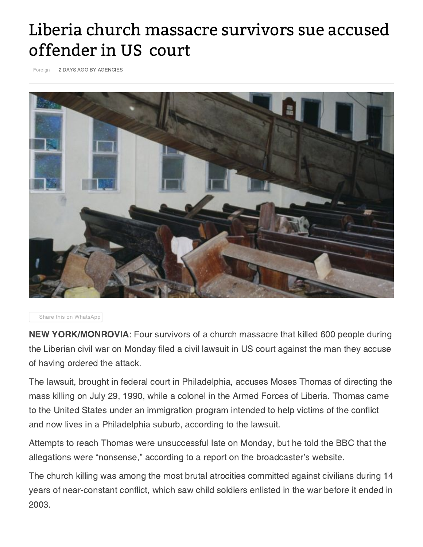## Liberia church massacre survivors sue accused offender in US court

[Foreign](https://www.pakistantoday.com.pk/category/foreign/) 2 DAYS AGO BY AGENCIES



Share this on [WhatsApp](whatsapp://send?text=Liberia church massacre survivors sue accused offender in US%C2%A0court - https://www.pakistantoday.com.pk/2018/02/13/liberia-church-massacre-survivors-sue-accused-offender-in-us-court/)

NEW YORK/MONROVIA: Four survivors of a church massacre that killed 600 people during the Liberian civil war on Monday filed a civil lawsuit in US court against the man they accuse of having ordered the attack.

The lawsuit, brought in federal court in Philadelphia, accuses Moses Thomas of directing the mass killing on July 29, 1990, while a colonel in the Armed Forces of Liberia. Thomas came to the United States under an immigration program intended to help victims of the conflict and now lives in a Philadelphia suburb, according to the lawsuit.

Attempts to reach Thomas were unsuccessful late on Monday, but he told the BBC that the allegations were "nonsense," according to a report on the broadcaster's website.

The church killing was among the most brutal atrocities committed against civilians during 14 years of near-constant conflict, which saw child soldiers enlisted in the war before it ended in 2003.